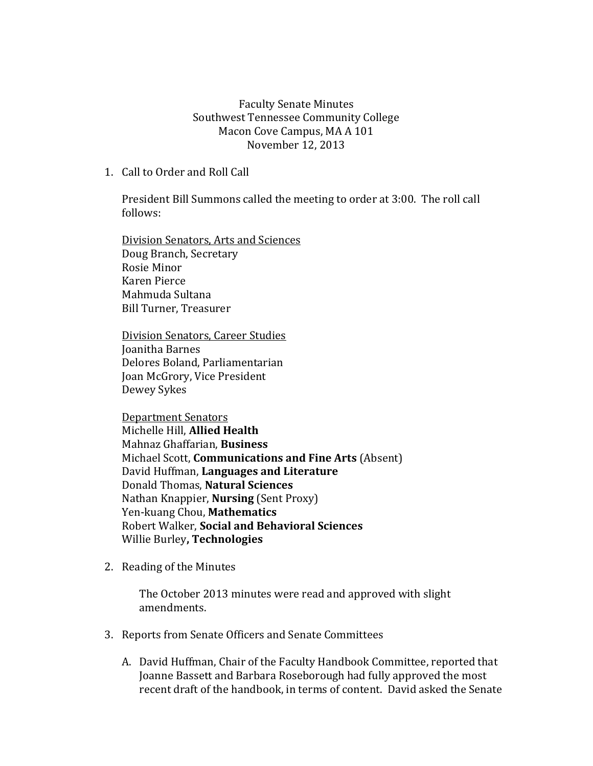Faculty Senate Minutes Southwest Tennessee Community College Macon Cove Campus, MA A 101 November 12, 2013

1. Call to Order and Roll Call

President Bill Summons called the meeting to order at 3:00. The roll call follows:

Division Senators, Arts and Sciences Doug Branch, Secretary Rosie Minor Karen Pierce Mahmuda Sultana Bill Turner, Treasurer

Division Senators, Career Studies Joanitha Barnes Delores Boland, Parliamentarian Joan McGrory, Vice President Dewey Sykes

Department Senators Michelle Hill, **Allied Health** Mahnaz Ghaffarian, **Business** Michael Scott, **Communications and Fine Arts** (Absent) David Huffman, **Languages and Literature** Donald Thomas, **Natural Sciences** Nathan Knappier, **Nursing** (Sent Proxy) Yen-kuang Chou, **Mathematics** Robert Walker, **Social and Behavioral Sciences** Willie Burley**, Technologies**

2. Reading of the Minutes

The October 2013 minutes were read and approved with slight amendments.

- 3. Reports from Senate Officers and Senate Committees
	- A. David Huffman, Chair of the Faculty Handbook Committee, reported that Joanne Bassett and Barbara Roseborough had fully approved the most recent draft of the handbook, in terms of content. David asked the Senate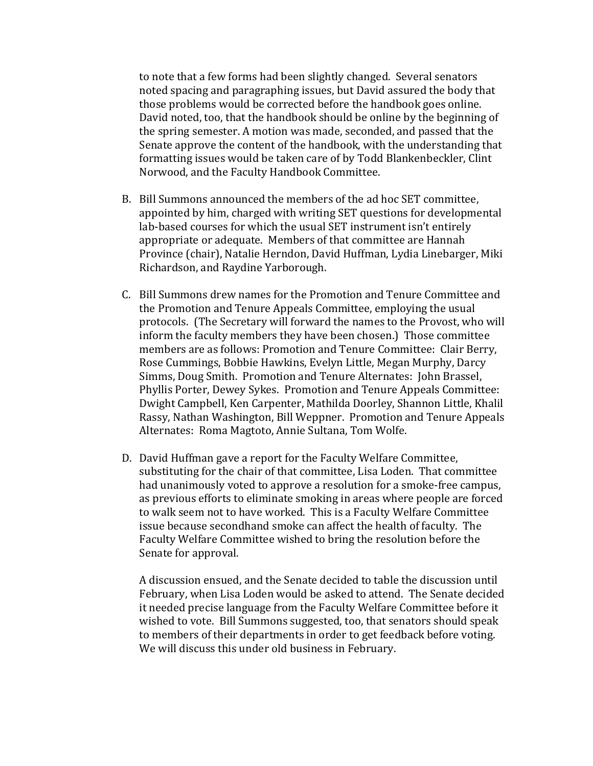to note that a few forms had been slightly changed. Several senators noted spacing and paragraphing issues, but David assured the body that those problems would be corrected before the handbook goes online. David noted, too, that the handbook should be online by the beginning of the spring semester. A motion was made, seconded, and passed that the Senate approve the content of the handbook, with the understanding that formatting issues would be taken care of by Todd Blankenbeckler, Clint Norwood, and the Faculty Handbook Committee.

- B. Bill Summons announced the members of the ad hoc SET committee, appointed by him, charged with writing SET questions for developmental lab-based courses for which the usual SET instrument isn't entirely appropriate or adequate. Members of that committee are Hannah Province (chair), Natalie Herndon, David Huffman, Lydia Linebarger, Miki Richardson, and Raydine Yarborough.
- C. Bill Summons drew names for the Promotion and Tenure Committee and the Promotion and Tenure Appeals Committee, employing the usual protocols. (The Secretary will forward the names to the Provost, who will inform the faculty members they have been chosen.) Those committee members are as follows: Promotion and Tenure Committee: Clair Berry, Rose Cummings, Bobbie Hawkins, Evelyn Little, Megan Murphy, Darcy Simms, Doug Smith. Promotion and Tenure Alternates: John Brassel, Phyllis Porter, Dewey Sykes. Promotion and Tenure Appeals Committee: Dwight Campbell, Ken Carpenter, Mathilda Doorley, Shannon Little, Khalil Rassy, Nathan Washington, Bill Weppner. Promotion and Tenure Appeals Alternates: Roma Magtoto, Annie Sultana, Tom Wolfe.
- D. David Huffman gave a report for the Faculty Welfare Committee, substituting for the chair of that committee, Lisa Loden. That committee had unanimously voted to approve a resolution for a smoke-free campus, as previous efforts to eliminate smoking in areas where people are forced to walk seem not to have worked. This is a Faculty Welfare Committee issue because secondhand smoke can affect the health of faculty. The Faculty Welfare Committee wished to bring the resolution before the Senate for approval.

A discussion ensued, and the Senate decided to table the discussion until February, when Lisa Loden would be asked to attend. The Senate decided it needed precise language from the Faculty Welfare Committee before it wished to vote. Bill Summons suggested, too, that senators should speak to members of their departments in order to get feedback before voting. We will discuss this under old business in February.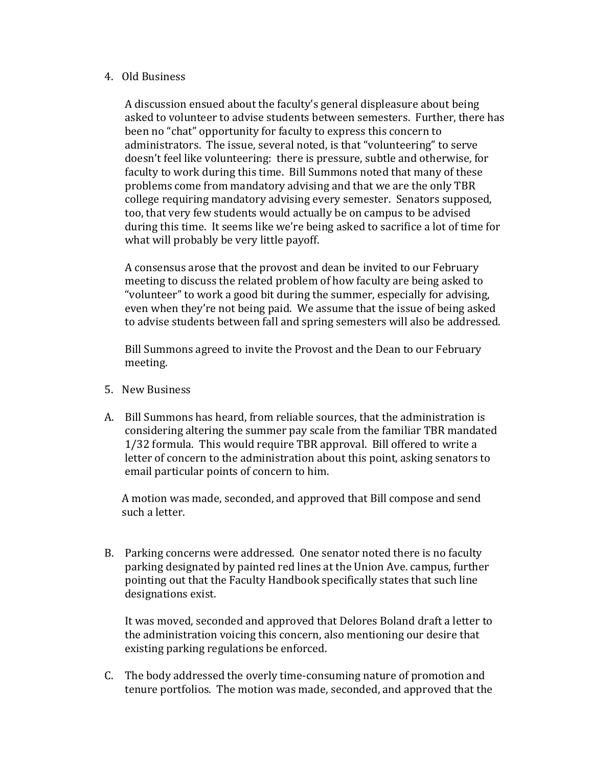## 4. Old Business

A discussion ensued about the faculty's general displeasure about being asked to volunteer to advise students between semesters. Further, there has been no "chat" opportunity for faculty to express this concern to administrators. The issue, several noted, is that "volunteering" to serve doesn't feel like volunteering: there is pressure, subtle and otherwise, for faculty to work during this time. Bill Summons noted that many of these problems come from mandatory advising and that we are the only TBR college requiring mandatory advising every semester. Senators supposed, too, that very few students would actually be on campus to be advised during this time. It seems like we're being asked to sacrifice a lot of time for what will probably be very little payoff.

A consensus arose that the provost and dean be invited to our February meeting to discuss the related problem of how faculty are being asked to "volunteer" to work a good bit during the summer, especially for advising, even when they're not being paid. We assume that the issue of being asked to advise students between fall and spring semesters will also be addressed.

Bill Summons agreed to invite the Provost and the Dean to our February meeting.

- 5. New Business
- A. Bill Summons has heard, from reliable sources, that the administration is considering altering the summer pay scale from the familiar TBR mandated 1/32 formula. This would require TBR approval. Bill offered to write a letter of concern to the administration about this point, asking senators to email particular points of concern to him.

A motion was made, seconded, and approved that Bill compose and send such a letter.

B. Parking concerns were addressed. One senator noted there is no faculty parking designated by painted red lines at the Union Ave. campus, further pointing out that the Faculty Handbook specifically states that such line designations exist.

It was moved, seconded and approved that Delores Boland draft a letter to the administration voicing this concern, also mentioning our desire that existing parking regulations be enforced.

C. The body addressed the overly time-consuming nature of promotion and tenure portfolios. The motion was made, seconded, and approved that the